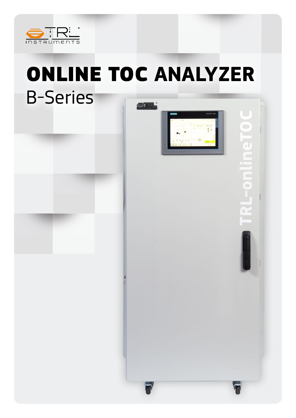

# ONLINE TOC **ANALYZER** B-Series**OTRE**



 $\bigcirc$ 

a.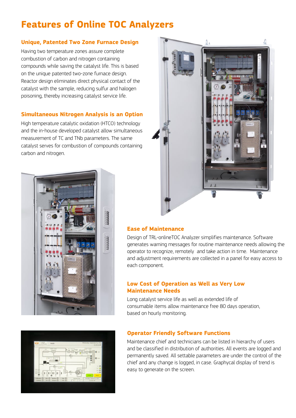# **Features of Online TOC Analyzers**

#### **Unique, Patented Two Zone Furnace Design**

Having two temperature zones assure complete combustion of carbon and nitrogen containing compounds while saving the catalyst life. This is based on the unique patented two-zone furnace design. Reactor design eliminates direct physical contact of the catalyst with the sample, reducing sulfur and halogen poisoning, thereby increasing catalyst service life.

#### **Simultaneous Nitrogen Analysis is an Option**

High temperature catalytic oxidation (HTCO) technology and the in-house developed catalyst allow simultaneous measurement of TC and TNb parameters. The same catalyst serves for combustion of compounds containing carbon and nitrogen.





#### **Ease of Maintenance**

Design of TRL-onlineTOC Analyzer simplifies maintenance. Software generates warning messages for routine maintenance needs allowing the operator to recognize, remotely and take action in time. Maintenance and adjustment requirements are collected in a panel for easy access to each component.

#### **Low Cost of Operation as Well as Very Low Maintenance Needs**

Long catalyst service life as well as extended life of consumable items allow maintenance free 80 days operation, based on hourly monitoring.



#### **Operator Friendly Software Functions**

Maintenance chief and technicians can be listed in hierarchy of users and be classified in distribution of authorities. All events are logged and permanently saved. All settable parameters are under the control of the chief and any change is logged, in case. Graphycal display of trend is easy to generate on the screen.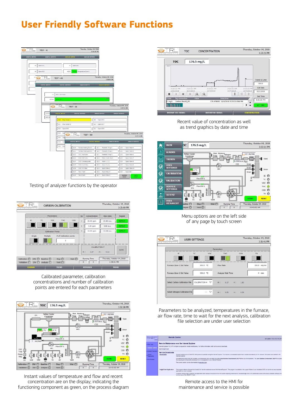### **User Friendly Software Functions**



Testing of analyzer functions by the operator



Calibrated parameter, calibration concentrations and number of calibration points are entered for each parameters



Instant values of temperature and flow and recent concentration are on the display; indicating the functioning component as green, on the process diagram



Recent value of concentration as well as trend graphics by date and time



Menu options are on the left side of any page by touch screen

|                                  |                 | Parameters    |                    |      |    |              |
|----------------------------------|-----------------|---------------|--------------------|------|----|--------------|
| $_{\rm K}$                       | TC.             | VOC           | TOC                | COD  | TN |              |
| Furnace Zone-1 Set Value         | 800.0 °C        |               | Flow Rate          |      |    | 200.0 mL/mir |
| Furnace Zone-2 Set Value         | 500.0 °C        |               | Analysis Wait Time |      |    | $4$ min      |
| Select Carbon Calibration File   | CALIBRATION-4 V | m :           | $0.17$ $n$ :       | 1.83 |    |              |
| Select Nitrogen Calibration File |                 | $-7$<br>$m$ : | $0.00$ n :         | 0.00 |    |              |

Parameters to be analyzed, temperatures in the furnace, air flow rate, time to wait for the next analysis, calibration file selection are under user selection

| <b>Northean Automotive Art</b><br>the art inspective<br>Lasted                  | <b>Remote Control</b>                          | ID01 Update 15:42.46 D4.70.201                                                                                                                                                                                                                                                                                                                                                                                                                                                                                                                                        |
|---------------------------------------------------------------------------------|------------------------------------------------|-----------------------------------------------------------------------------------------------------------------------------------------------------------------------------------------------------------------------------------------------------------------------------------------------------------------------------------------------------------------------------------------------------------------------------------------------------------------------------------------------------------------------------------------------------------------------|
| Villations<br>* Harmota Control                                                 | Start Smill moters                             | Remote Maintenance over the Internet Explorer<br>Internet Explorer VED SP1 or higher is required for remote maintenance. For further information, refer to the service downloads.                                                                                                                                                                                                                                                                                                                                                                                     |
| . Control Functions<br><b>Bystem</b><br>Dispresses<br><b>&gt; Fits Entrance</b> | <b>Service Downloads</b><br><b>Jose Undale</b> | Remote maintenance of StalkTIC FBB systems is possible using the Internet Explorer. This requires a Java-based accide that is loaded automatically by the relevant HM system and started in the<br>Internet Explorer<br>For optimum scopes to the HAR pustoms, we recommend that you motell the islast Jawa Rundane Environment (JAIE **) from Sun Microsystems. The Jawa Rentiese Environment (JAIE **) included<br>the Jaca plug-in components necessary to run, Jaya applies in your Internet Ecolonic.<br>The current version can be downloaded at your inva com- |
|                                                                                 | <b>SculptClient Application</b>                | This program allows writers ed functionality for "nends maintenance over the Internet Explorer". The program is available in the support folder of your installation DVD and can be run as a sequeste.<br>detekcation on your computer.<br>in addition to the screen contents, this application plac clisicials the toyout of the HRR system roquining maintenance. The advantage nord is the bootherial accoss to the locally proklass softlays and<br>function beys of the SBAKTIC Panel                                                                            |

Remote access to the HMI for maintenance and service is possible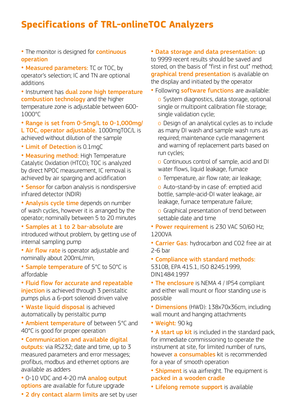### **Specifications of TRL-onlineTOC Analyzers**

- The monitor is designed for **continuous** operation
- Measured parameters: TC or TOC. by operator's selection; IC and TN are optional additions

• Instrument has dual zone high temperature combustion technology and the higher temperature zone is adjustable between 600- 1000°C

• Range is set from 0-5mg/L to 0-1,000mg/ L TOC, operator adjustable. 1000mgTOC/L is achieved without dilution of the sample

• Limit of Detection is 0.1mgC

• Measuring method: High Temperature Catalytic Oxidation (HTCO); TOC is analyzed by direct NPOC measurement, IC removal is achieved by air sparging and acidification

**• Sensor** for carbon analysis is nondispersive infrared detector (NDIR)

• Analysis cycle time depends on number of wash cycles, however it is arranged by the operator; nominally between 5 to 20 minutes

• Samples at 1 to 2 bar-absolute are introduced without problem, by getting use of internal sampling pump

• Air flow rate is operator adjustable and nominally about 200mL/min,

• Sample temperature of 5°C to 50°C is affordable

• Fluid flow for accurate and repeatable injection is achieved through 3 peristaltic pumps plus a 6-port solenoid driven valve

• Waste liquid disposal is achieved automatically by peristaltic pump

• Ambient temperature of between 5°C and 40°C is good for proper operation

• Communication and available digital

outputs: via RS232; date and time, up to 3 measured parameters and error messages; profibus, modbus and ethernet options are available as adders

• 0-10 VDC and 4-20 mA analog output options are available for future upgrade

• 2 dry contact alarm limits are set by user

• Data storage and data presentation: up to 9999 recent results should be saved and stored, on the basis of "first in first out" method; **graphical trend presentation** is available on the display and initiated by the operator

• Following **software functions** are available:

o System diagnostics, data storage, optional single or multipoint calibration file storage; single validation cycle;

o Design of an analytical cycles as to include as many DI wash and sample wash runs as required; maintenance cycle management and warning of replacement parts based on run cycles;

o Continuous control of sample, acid and DI water flows, liquid leakage, furnace

o Temperature, air flow rate; air leakage;

o Auto-stand-by in case of: emptied acid bottle, sample-acid-DI water leakage, air leakage, furnace temperature failure;

o Graphical presentation of trend between settable date and time

• Power requirement is 230 VAC 50/60 Hz; 1200VA

• Carrier Gas: hydrocarbon and CO2 free air at 2-6 bar

• Compliance with standard methods: 5310B, EPA 415.1, ISO 8245:1999, DIN1484:1997

• The enclosure is NEMA 4 / IP54 compliant and either wall mount or floor standing use is possible

• Dimensions (HWD): 138x70x36cm, including wall mount and hanging attachments

• Weight: 90 kg

• A start up kit is included in the standard pack, for immediate commissioning to operate the instrument at site, for limited number of runs, however **a consumables** kit is recommended for a year of smooth operation

• Shipment is via airfreight. The equipment is packed in a wooden cradle

• Lifelong remote support is available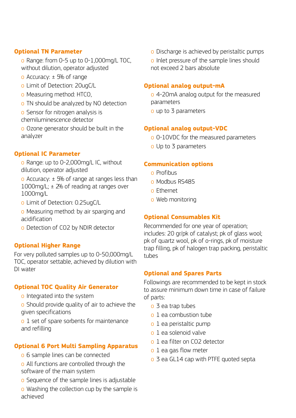#### **Optional TN Parameter**

o Range: from 0-5 up to 0-1,000mg/L TOC, without dilution, operator adjusted

- $\alpha$  Accuracy:  $\pm$  5% of range
- o Limit of Detection: 20ugC/L
- o Measuring method: HTCO,
- o TN should be analyzed by NO detection
- o Sensor for nitrogen analysis is chemiluminescence detector

o Ozone generator should be built in the analyzer

#### **Optional IC Parameter**

- o Range: up to 0-2,000mg/L IC, without dilution, operator adjusted
- o Accuracy:  $\pm$  5% of range at ranges less than 1000mg/L;  $\pm$  2% of reading at ranges over 1000mg/L
- o Limit of Detection: 0.25ugC/L
- o Measuring method: by air sparging and acidification
- o Detection of CO2 by NDIR detector

#### **Optional Higher Range**

For very polluted samples up to 0-50,000mg/L TOC, operator settable, achieved by dilution with DI water

#### **Optional TOC Quality Air Generator**

- o Integrated into the system
- o Should provide quality of air to achieve the given specifications

o 1 set of spare sorbents for maintenance and refilling

#### **Optional 6 Port Multi Sampling Apparatus**

- o 6 sample lines can be connected
- o All functions are controlled through the software of the main system
- o Sequence of the sample lines is adjustable
- o Washing the collection cup by the sample is achieved

o Discharge is achieved by peristaltic pumps

o Inlet pressure of the sample lines should not exceed 2 bars absolute

#### **Optional analog output-mA**

- o 4-20mA analog output for the measured parameters
- o up to 3 parameters

#### **Optional analog output-VDC**

- o 0-10VDC for the measured parameters
- o Up to 3 parameters

#### **Communication options**

- o Profibus
- o Modbus RS485
- o Ethernet
- o Web monitoring

#### **Optional Consumables Kit**

Recommended for one year of operation; includes: 20 gr/pk of catalyst; pk of glass wool; pk of quartz wool, pk of o-rings, pk of moisture trap filling, pk of halogen trap packing, peristaltic tubes

#### **Optional and Spares Parts**

Followings are recommended to be kept in stock to assure minimum down time in case of failure of parts:

- o 3 ea trap tubes
- o 1 ea combustion tube
- o 1 ea peristaltic pump
- o 1 ea solenoid valve
- o 1 ea filter on CO2 detector
- o 1 ea gas flow meter
- o 3 ea GL14 cap with PTFE quoted septa